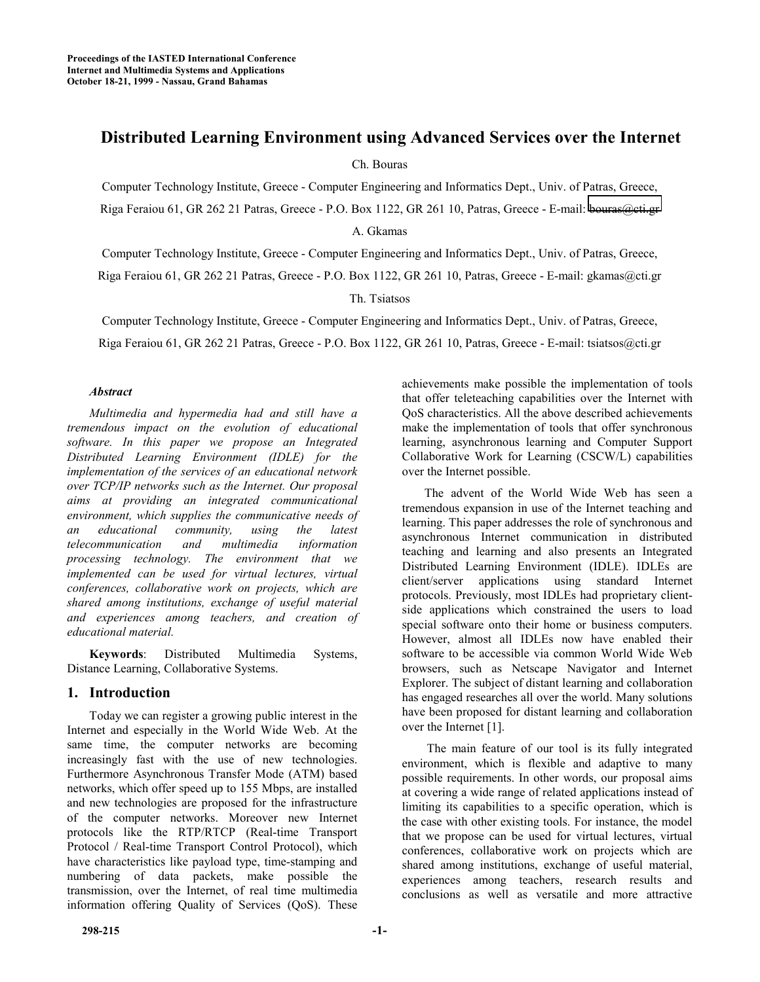# **Distributed Learning Environment using Advanced Services over the Internet**

Ch. Bouras

Computer Technology Institute, Greece - Computer Engineering and Informatics Dept., Univ. of Patras, Greece,

Riga Feraiou 61, GR 262 21 Patras, Greece - P.O. Box 1122, GR 261 10, Patras, Greece - E-mail: [bouras@cti.gr](mailto:bouras@cti.gr)

A. Gkamas

Computer Technology Institute, Greece - Computer Engineering and Informatics Dept., Univ. of Patras, Greece,

Riga Feraiou 61, GR 262 21 Patras, Greece - P.O. Box 1122, GR 261 10, Patras, Greece - E-mail: gkamas@cti.gr

Th. Tsiatsos

Computer Technology Institute, Greece - Computer Engineering and Informatics Dept., Univ. of Patras, Greece,

Riga Feraiou 61, GR 262 21 Patras, Greece - P.O. Box 1122, GR 261 10, Patras, Greece - E-mail: tsiatsos@cti.gr

#### *Abstract*

*Multimedia and hypermedia had and still have a tremendous impact on the evolution of educational software. In this paper we propose an Integrated Distributed Learning Environment (IDLE) for the implementation of the services of an educational network over TCP/IP networks such as the Internet. Our proposal aims at providing an integrated communicational environment, which supplies the communicative needs of an educational community, using the latest telecommunication and multimedia information processing technology. The environment that we implemented can be used for virtual lectures, virtual conferences, collaborative work on projects, which are shared among institutions, exchange of useful material and experiences among teachers, and creation of educational material.*

**Keywords**: Distributed Multimedia Systems, Distance Learning, Collaborative Systems.

### **1. Introduction**

Today we can register a growing public interest in the Internet and especially in the World Wide Web. At the same time, the computer networks are becoming increasingly fast with the use of new technologies. Furthermore Asynchronous Transfer Mode (ATM) based networks, which offer speed up to 155 Mbps, are installed and new technologies are proposed for the infrastructure of the computer networks. Moreover new Internet protocols like the RTP/RTCP (Real-time Transport Protocol / Real-time Transport Control Protocol), which have characteristics like payload type, time-stamping and numbering of data packets, make possible the transmission, over the Internet, of real time multimedia information offering Quality of Services (QoS). These achievements make possible the implementation of tools that offer teleteaching capabilities over the Internet with QoS characteristics. All the above described achievements make the implementation of tools that offer synchronous learning, asynchronous learning and Computer Support Collaborative Work for Learning (CSCW/L) capabilities over the Internet possible.

The advent of the World Wide Web has seen a tremendous expansion in use of the Internet teaching and learning. This paper addresses the role of synchronous and asynchronous Internet communication in distributed teaching and learning and also presents an Integrated Distributed Learning Environment (IDLE). IDLEs are client/server applications using standard Internet protocols. Previously, most IDLEs had proprietary clientside applications which constrained the users to load special software onto their home or business computers. However, almost all IDLEs now have enabled their software to be accessible via common World Wide Web browsers, such as Netscape Navigator and Internet Explorer. The subject of distant learning and collaboration has engaged researches all over the world. Many solutions have been proposed for distant learning and collaboration over the Internet [1].

The main feature of our tool is its fully integrated environment, which is flexible and adaptive to many possible requirements. In other words, our proposal aims at covering a wide range of related applications instead of limiting its capabilities to a specific operation, which is the case with other existing tools. For instance, the model that we propose can be used for virtual lectures, virtual conferences, collaborative work on projects which are shared among institutions, exchange of useful material, experiences among teachers, research results and conclusions as well as versatile and more attractive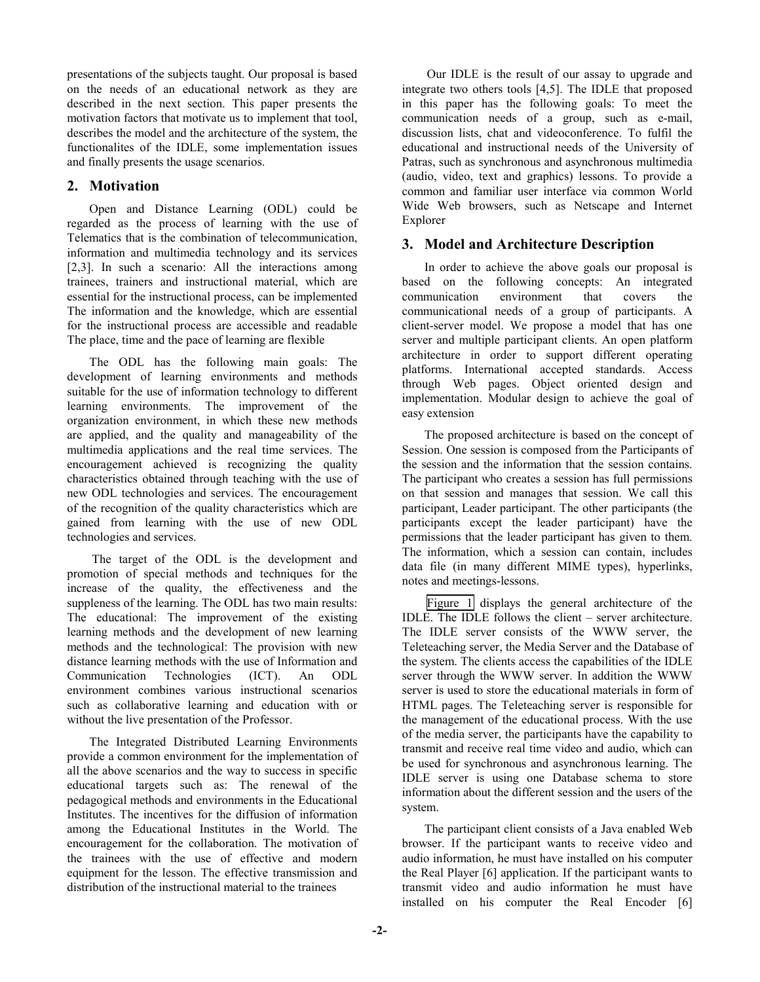presentations of the subjects taught. Our proposal is based on the needs of an educational network as they are described in the next section. This paper presents the motivation factors that motivate us to implement that tool, describes the model and the architecture of the system, the functionalites of the IDLE, some implementation issues and finally presents the usage scenarios.

### **2. Motivation**

Open and Distance Learning (ODL) could be regarded as the process of learning with the use of Telematics that is the combination of telecommunication, information and multimedia technology and its services [2,3]. In such a scenario: All the interactions among trainees, trainers and instructional material, which are essential for the instructional process, can be implemented The information and the knowledge, which are essential for the instructional process are accessible and readable The place, time and the pace of learning are flexible

The ODL has the following main goals: The development of learning environments and methods suitable for the use of information technology to different learning environments. The improvement of the organization environment, in which these new methods are applied, and the quality and manageability of the multimedia applications and the real time services. The encouragement achieved is recognizing the quality characteristics obtained through teaching with the use of new ODL technologies and services. The encouragement of the recognition of the quality characteristics which are gained from learning with the use of new ODL technologies and services.

The target of the ODL is the development and promotion of special methods and techniques for the increase of the quality, the effectiveness and the suppleness of the learning. The ODL has two main results: The educational: The improvement of the existing learning methods and the development of new learning methods and the technological: The provision with new distance learning methods with the use of Information and Communication Technologies (ICT). An ODL environment combines various instructional scenarios such as collaborative learning and education with or without the live presentation of the Professor.

The Integrated Distributed Learning Environments provide a common environment for the implementation of all the above scenarios and the way to success in specific educational targets such as: The renewal of the pedagogical methods and environments in the Educational Institutes. The incentives for the diffusion of information among the Educational Institutes in the World. The encouragement for the collaboration. The motivation of the trainees with the use of effective and modern equipment for the lesson. The effective transmission and distribution of the instructional material to the trainees

Our IDLE is the result of our assay to upgrade and integrate two others tools [4,5]. The IDLE that proposed in this paper has the following goals: To meet the communication needs of a group, such as e-mail, discussion lists, chat and videoconference. To fulfil the educational and instructional needs of the University of Patras, such as synchronous and asynchronous multimedia (audio, video, text and graphics) lessons. To provide a common and familiar user interface via common World Wide Web browsers, such as Netscape and Internet Explorer

# **3. Model and Architecture Description**

In order to achieve the above goals our proposal is based on the following concepts: An integrated communication environment that covers the communicational needs of a group of participants. A client-server model. We propose a model that has one server and multiple participant clients. An open platform architecture in order to support different operating platforms. International accepted standards. Access through Web pages. Object oriented design and implementation. Modular design to achieve the goal of easy extension

The proposed architecture is based on the concept of Session. One session is composed from the Participants of the session and the information that the session contains. The participant who creates a session has full permissions on that session and manages that session. We call this participant, Leader participant. The other participants (the participants except the leader participant) have the permissions that the leader participant has given to them. The information, which a session can contain, includes data file (in many different MIME types), hyperlinks, notes and meetings-lessons.

[Figure 1](#page-2-0) displays the general architecture of the IDLE. The IDLE follows the client – server architecture. The IDLE server consists of the WWW server, the Teleteaching server, the Media Server and the Database of the system. The clients access the capabilities of the IDLE server through the WWW server. In addition the WWW server is used to store the educational materials in form of HTML pages. The Teleteaching server is responsible for the management of the educational process. With the use of the media server, the participants have the capability to transmit and receive real time video and audio, which can be used for synchronous and asynchronous learning. The IDLE server is using one Database schema to store information about the different session and the users of the system.

The participant client consists of a Java enabled Web browser. If the participant wants to receive video and audio information, he must have installed on his computer the Real Player [6] application. If the participant wants to transmit video and audio information he must have installed on his computer the Real Encoder [6]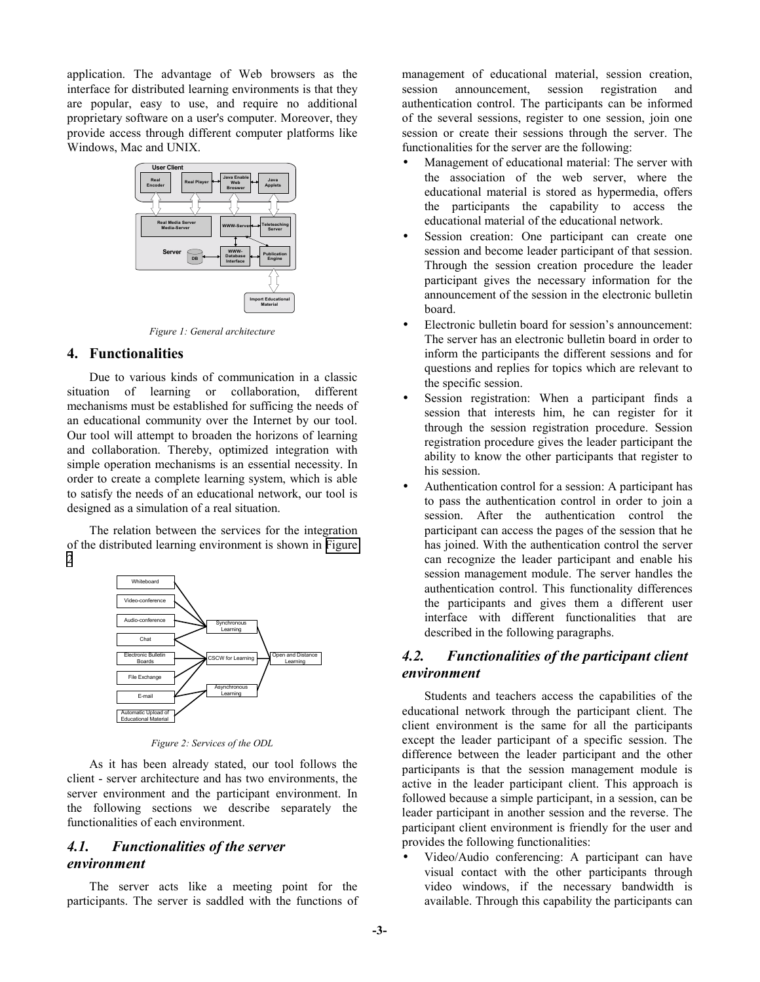<span id="page-2-0"></span>application. The advantage of Web browsers as the interface for distributed learning environments is that they are popular, easy to use, and require no additional proprietary software on a user's computer. Moreover, they provide access through different computer platforms like Windows, Mac and UNIX.



*Figure 1: General architecture*

#### **4. Functionalities**

Due to various kinds of communication in a classic situation of learning or collaboration, different mechanisms must be established for sufficing the needs of an educational community over the Internet by our tool. Our tool will attempt to broaden the horizons of learning and collaboration. Thereby, optimized integration with simple operation mechanisms is an essential necessity. In order to create a complete learning system, which is able to satisfy the needs of an educational network, our tool is designed as a simulation of a real situation.

The relation between the services for the integration of the distributed learning environment is shown in Figure 2



*Figure 2: Services of the ODL*

As it has been already stated, our tool follows the client - server architecture and has two environments, the server environment and the participant environment. In the following sections we describe separately the functionalities of each environment.

## *4.1. Functionalities of the server environment*

The server acts like a meeting point for the participants. The server is saddled with the functions of management of educational material, session creation, session announcement, session registration and authentication control. The participants can be informed of the several sessions, register to one session, join one session or create their sessions through the server. The functionalities for the server are the following:

- Management of educational material: The server with the association of the web server, where the educational material is stored as hypermedia, offers the participants the capability to access the educational material of the educational network.
- Session creation: One participant can create one session and become leader participant of that session. Through the session creation procedure the leader participant gives the necessary information for the announcement of the session in the electronic bulletin board.
- Electronic bulletin board for session's announcement: The server has an electronic bulletin board in order to inform the participants the different sessions and for questions and replies for topics which are relevant to the specific session.
- Session registration: When a participant finds a session that interests him, he can register for it through the session registration procedure. Session registration procedure gives the leader participant the ability to know the other participants that register to his session.
- Authentication control for a session: A participant has to pass the authentication control in order to join a session. After the authentication control the participant can access the pages of the session that he has joined. With the authentication control the server can recognize the leader participant and enable his session management module. The server handles the authentication control. This functionality differences the participants and gives them a different user interface with different functionalities that are described in the following paragraphs.

### *4.2. Functionalities of the participant client environment*

Students and teachers access the capabilities of the educational network through the participant client. The client environment is the same for all the participants except the leader participant of a specific session. The difference between the leader participant and the other participants is that the session management module is active in the leader participant client. This approach is followed because a simple participant, in a session, can be leader participant in another session and the reverse. The participant client environment is friendly for the user and provides the following functionalities:

• Video/Audio conferencing: A participant can have visual contact with the other participants through video windows, if the necessary bandwidth is available. Through this capability the participants can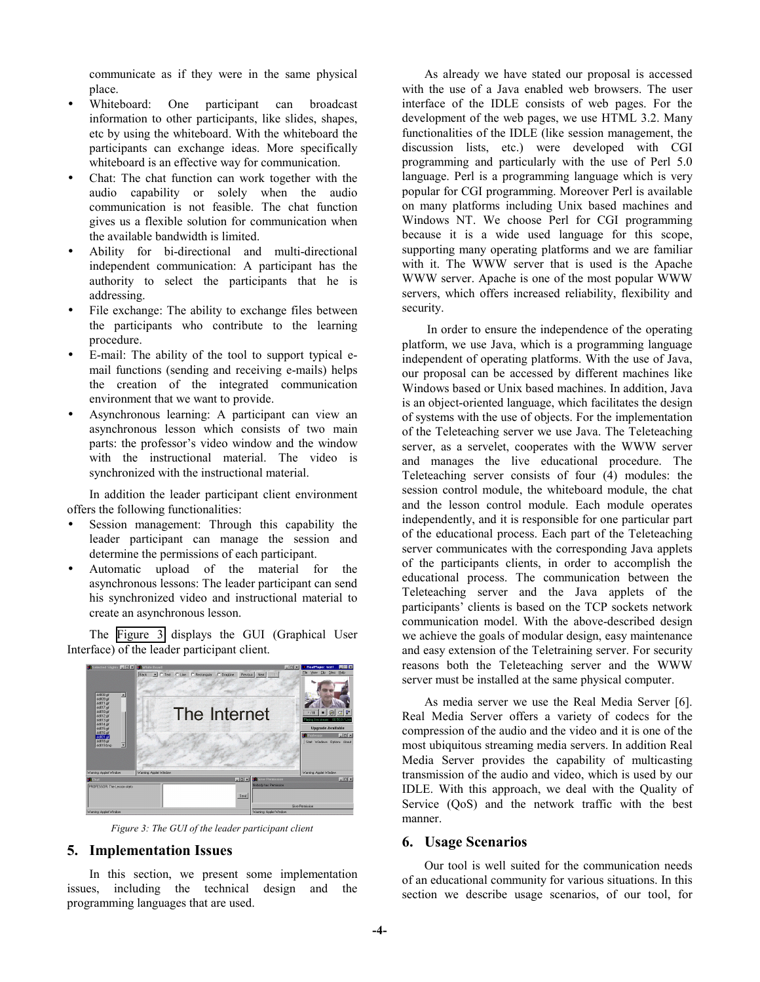communicate as if they were in the same physical place.

- Whiteboard: One participant can broadcast information to other participants, like slides, shapes, etc by using the whiteboard. With the whiteboard the participants can exchange ideas. More specifically whiteboard is an effective way for communication.
- Chat: The chat function can work together with the audio capability or solely when the audio communication is not feasible. The chat function gives us a flexible solution for communication when the available bandwidth is limited.
- Ability for bi-directional and multi-directional independent communication: A participant has the authority to select the participants that he is addressing.
- File exchange: The ability to exchange files between the participants who contribute to the learning procedure.
- E-mail: The ability of the tool to support typical email functions (sending and receiving e-mails) helps the creation of the integrated communication environment that we want to provide.
- Asynchronous learning: A participant can view an asynchronous lesson which consists of two main parts: the professor's video window and the window with the instructional material. The video is synchronized with the instructional material.

In addition the leader participant client environment offers the following functionalities:

- Session management: Through this capability the leader participant can manage the session and determine the permissions of each participant.
- Automatic upload of the material for the asynchronous lessons: The leader participant can send his synchronized video and instructional material to create an asynchronous lesson.

The Figure 3 displays the GUI (Graphical User Interface) of the leader participant client.



*Figure 3: The GUI of the leader participant client*

#### **5. Implementation Issues**

In this section, we present some implementation issues, including the technical design and the programming languages that are used.

As already we have stated our proposal is accessed with the use of a Java enabled web browsers. The user interface of the IDLE consists of web pages. For the development of the web pages, we use HTML 3.2. Many functionalities of the IDLE (like session management, the discussion lists, etc.) were developed with CGI programming and particularly with the use of Perl 5.0 language. Perl is a programming language which is very popular for CGI programming. Moreover Perl is available on many platforms including Unix based machines and Windows NT. We choose Perl for CGI programming because it is a wide used language for this scope, supporting many operating platforms and we are familiar with it. The WWW server that is used is the Apache WWW server. Apache is one of the most popular WWW servers, which offers increased reliability, flexibility and security.

In order to ensure the independence of the operating platform, we use Java, which is a programming language independent of operating platforms. With the use of Java, our proposal can be accessed by different machines like Windows based or Unix based machines. In addition, Java is an object-oriented language, which facilitates the design of systems with the use of objects. For the implementation of the Teleteaching server we use Java. The Teleteaching server, as a servelet, cooperates with the WWW server and manages the live educational procedure. The Teleteaching server consists of four (4) modules: the session control module, the whiteboard module, the chat and the lesson control module. Each module operates independently, and it is responsible for one particular part of the educational process. Each part of the Teleteaching server communicates with the corresponding Java applets of the participants clients, in order to accomplish the educational process. The communication between the Teleteaching server and the Java applets of the participants' clients is based on the TCP sockets network communication model. With the above-described design we achieve the goals of modular design, easy maintenance and easy extension of the Teletraining server. For security reasons both the Teleteaching server and the WWW server must be installed at the same physical computer.

As media server we use the Real Media Server [6]. Real Media Server offers a variety of codecs for the compression of the audio and the video and it is one of the most ubiquitous streaming media servers. In addition Real Media Server provides the capability of multicasting transmission of the audio and video, which is used by our IDLE. With this approach, we deal with the Quality of Service (QoS) and the network traffic with the best manner.

#### **6. Usage Scenarios**

Our tool is well suited for the communication needs of an educational community for various situations. In this section we describe usage scenarios, of our tool, for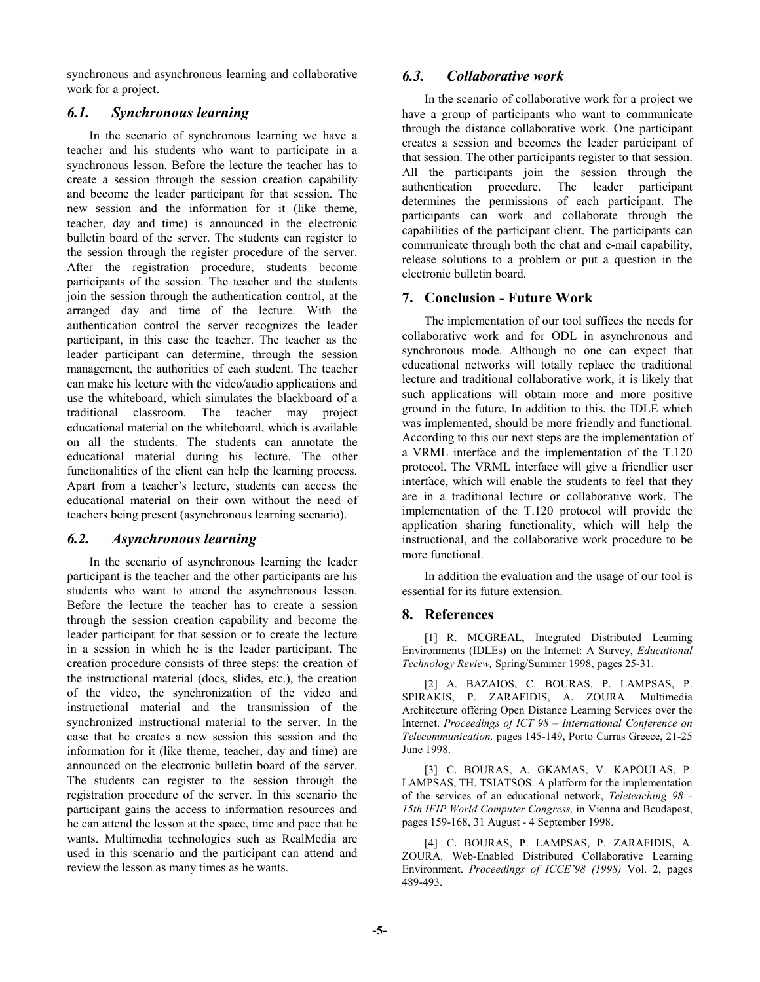synchronous and asynchronous learning and collaborative work for a project.

## *6.1. Synchronous learning*

In the scenario of synchronous learning we have a teacher and his students who want to participate in a synchronous lesson. Before the lecture the teacher has to create a session through the session creation capability and become the leader participant for that session. The new session and the information for it (like theme, teacher, day and time) is announced in the electronic bulletin board of the server. The students can register to the session through the register procedure of the server. After the registration procedure, students become participants of the session. The teacher and the students join the session through the authentication control, at the arranged day and time of the lecture. With the authentication control the server recognizes the leader participant, in this case the teacher. The teacher as the leader participant can determine, through the session management, the authorities of each student. The teacher can make his lecture with the video/audio applications and use the whiteboard, which simulates the blackboard of a traditional classroom. The teacher may project educational material on the whiteboard, which is available on all the students. The students can annotate the educational material during his lecture. The other functionalities of the client can help the learning process. Apart from a teacher's lecture, students can access the educational material on their own without the need of teachers being present (asynchronous learning scenario).

# *6.2. Asynchronous learning*

In the scenario of asynchronous learning the leader participant is the teacher and the other participants are his students who want to attend the asynchronous lesson. Before the lecture the teacher has to create a session through the session creation capability and become the leader participant for that session or to create the lecture in a session in which he is the leader participant. The creation procedure consists of three steps: the creation of the instructional material (docs, slides, etc.), the creation of the video, the synchronization of the video and instructional material and the transmission of the synchronized instructional material to the server. In the case that he creates a new session this session and the information for it (like theme, teacher, day and time) are announced on the electronic bulletin board of the server. The students can register to the session through the registration procedure of the server. In this scenario the participant gains the access to information resources and he can attend the lesson at the space, time and pace that he wants. Multimedia technologies such as RealMedia are used in this scenario and the participant can attend and review the lesson as many times as he wants.

## *6.3. Collaborative work*

In the scenario of collaborative work for a project we have a group of participants who want to communicate through the distance collaborative work. One participant creates a session and becomes the leader participant of that session. The other participants register to that session. All the participants join the session through the authentication procedure. The leader participant determines the permissions of each participant. The participants can work and collaborate through the capabilities of the participant client. The participants can communicate through both the chat and e-mail capability, release solutions to a problem or put a question in the electronic bulletin board.

# **7. Conclusion - Future Work**

The implementation of our tool suffices the needs for collaborative work and for ODL in asynchronous and synchronous mode. Although no one can expect that educational networks will totally replace the traditional lecture and traditional collaborative work, it is likely that such applications will obtain more and more positive ground in the future. In addition to this, the IDLE which was implemented, should be more friendly and functional. According to this our next steps are the implementation of a VRML interface and the implementation of the T.120 protocol. The VRML interface will give a friendlier user interface, which will enable the students to feel that they are in a traditional lecture or collaborative work. The implementation of the T.120 protocol will provide the application sharing functionality, which will help the instructional, and the collaborative work procedure to be more functional.

In addition the evaluation and the usage of our tool is essential for its future extension.

### **8. References**

[1] R. MCGREAL, Integrated Distributed Learning Environments (IDLEs) on the Internet: A Survey, *Educational Technology Review,* Spring/Summer 1998, pages 25-31.

[2] A. BAZAIOS, C. BOURAS, P. LAMPSAS, P. SPIRAKIS, P. ZARAFIDIS, A. ZOURA. Multimedia Architecture offering Open Distance Learning Services over the Internet. *Proceedings of ICT 98 – International Conference on Telecommunication,* pages 145-149, Porto Carras Greece, 21-25 June 1998.

[3] C. BOURAS, A. GKAMAS, V. KAPOULAS, P. LAMPSAS, TH. TSIATSOS. A platform for the implementation of the services of an educational network, *Teleteaching 98 - 15th IFIP World Computer Congress,* in Vienna and Bcudapest, pages 159-168, 31 August - 4 September 1998.

[4] C. BOURAS, P. LAMPSAS, P. ZARAFIDIS, A. ZOURA. Web-Enabled Distributed Collaborative Learning Environment. *Proceedings of ICCE'98 (1998)* Vol. 2, pages 489-493.